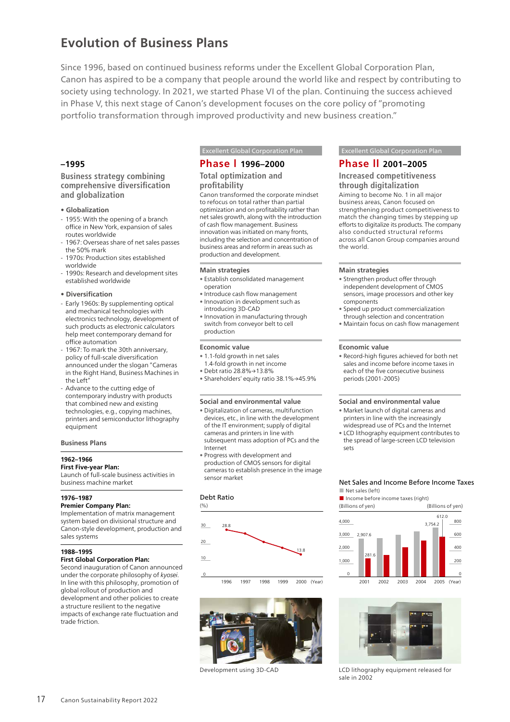# **Evolution of Business Plans**

Since 1996, based on continued business reforms under the Excellent Global Corporation Plan, Canon has aspired to be a company that people around the world like and respect by contributing to society using technology. In 2021, we started Phase VI of the plan. Continuing the success achieved in Phase V, this next stage of Canon's development focuses on the core policy of "promoting portfolio transformation through improved productivity and new business creation."

## **–1995**

**Business strategy combining comprehensive diversification and globalization**

- **Globalization**
- 1955: With the opening of a branch office in New York, expansion of sales routes worldwide
- 1967: Overseas share of net sales passes the 50% mark
- 1970s: Production sites established worldwide
- 1990s: Research and development sites established worldwide

### **• Diversification**

- Early 1960s: By supplementing optical and mechanical technologies with electronics technology, development of such products as electronic calculators help meet contemporary demand for office automation
- 1967: To mark the 30th anniversary, policy of full-scale diversification announced under the slogan "Cameras in the Right Hand, Business Machines in the Left"
- Advance to the cutting edge of contemporary industry with products that combined new and existing technologies, e.g., copying machines, printers and semiconductor lithography equipment

### **Business Plans**

**1962–1966**

### **First Five-year Plan:**

Launch of full-scale business activities in business machine market

### **1976–1987**

### **Premier Company Plan:**

Implementation of matrix management system based on divisional structure and Canon-style development, production and sales systems

### **1988–1995**

## **First Global Corporation Plan:**

Second inauguration of Canon announced under the corporate philosophy of *kyosei*. In line with this philosophy, promotion of global rollout of production and development and other policies to create a structure resilient to the negative impacts of exchange rate fluctuation and trade friction.

## **Phase l 1996–2000**

## **Total optimization and profitability**

Canon transformed the corporate mindset to refocus on total rather than partial optimization and on profitability rather than net sales growth, along with the introduction of cash flow management. Business innovation was initiated on many fronts, including the selection and concentration of business areas and reform in areas such as production and development.

### **Main strategies**

- Establish consolidated management operation
- Introduce cash flow management • Innovation in development such as
- introducing 3D-CAD • Innovation in manufacturing through
- switch from conveyor belt to cell production

### **Economic value**

- 1.1-fold growth in net sales
- 1.4-fold growth in net income • Debt ratio 28.8%→13.8%
- Shareholders' equity ratio 38.1%→45.9%

### **Social and environmental value**

- Digitalization of cameras, multifunction
- devices, etc., in line with the development of the IT environment; supply of digital cameras and printers in line with subsequent mass adoption of PCs and the Internet
- Progress with development and production of CMOS sensors for digital cameras to establish presence in the image sensor market

### Debt Ratio





Development using 3D-CAD

### **Excellent Global Corporation Plan Accellent Global Corporation Plan**

## **Phase ll 2001–2005**

**Increased competitiveness through digitalization** Aiming to become No. 1 in all major business areas, Canon focused on strengthening product competitiveness to match the changing times by stepping up efforts to digitalize its products. The company also conducted structural reforms across all Canon Group companies around the world.

### **Main strategies**

- Strengthen product offer through independent development of CMOS sensors, image processors and other key
- components • Speed up product commercialization
- through selection and concentration
- Maintain focus on cash flow management

### **Economic value**

• Record-high figures achieved for both net sales and income before income taxes in each of the five consecutive business periods (2001-2005)

### **Social and environmental value**

- Market launch of digital cameras and printers in line with the increasingly
- widespread use of PCs and the Internet • LCD lithography equipment contributes to the spread of large-screen LCD television sets

### Net Sales and Income Before Income Taxes ■ Net sales (left)



2001 2002 2003 2004 2005 (Year)



LCD lithography equipment released for sale in 2002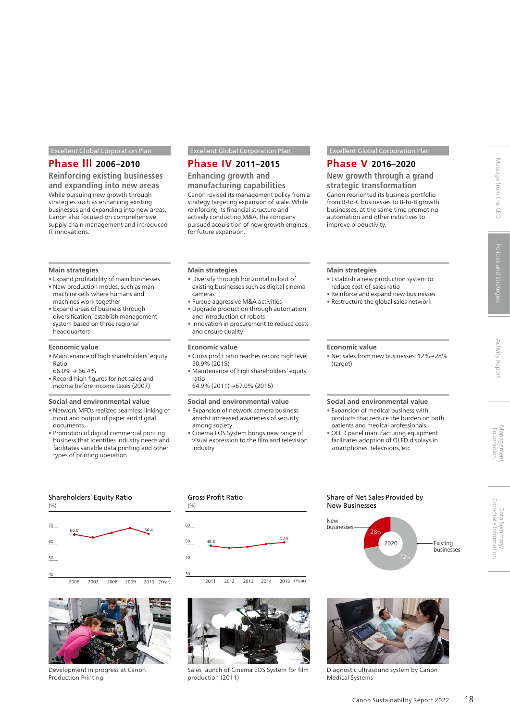### Excellent Global Corporation Plan Excellent Global Corporation Plan Excellent Global Corporation Plan

## **Phase lll 2006–2010**

**Reinforcing existing businesses and expanding into new areas** While pursuing new growth through strategies such as enhancing existing businesses and expanding into new areas, Canon also focused on comprehensive supply chain management and introduced IT innovations.

### **Main strategies**

- Expand profitability of main businesses • New production modes, such as manmachine cells where humans and machines work together
- Expand areas of business through diversification, establish management system based on three regional headquarters

### **Economic value**

- Maintenance of high shareholders' equity Ratio
- $66.0\% \rightarrow 66.4\%$
- Record-high figures for net sales and income before income taxes (2007)

### **Social and environmental value**

- Network MFDs realized seamless linking of input and output of paper and digital documents
- Promotion of digital commercial printing business that identifies industry needs and facilitates variable data printing and other types of printing operation

## **Phase IV 2011–2015**

**Enhancing growth and manufacturing capabilities**

Canon revised its management policy from a strategy targeting expansion of scale. While reinforcing its financial structure and actively conducting M&A, the company pursued acquisition of new growth engines for future expansion.

### **Main strategies**

- Diversify through horizontal rollout of existing businesses such as digital cinema cameras
- Pursue aggressive M&A activities • Upgrade production through automation and introduction of robots
- Innovation in procurement to reduce costs and ensure quality

### **Economic value**

- Gross profit ratio reaches record high level 50.9% (2015)
- Maintenance of high shareholders' equity ratio
- 64.9% (2011) →67.0% (2015)

### **Social and environmental value**

- Expansion of network camera business amidst increased awareness of security among society
- Cinema EOS System brings new range of visual expression to the film and television industry

## **Phase V 2016–2020**

**New growth through a grand strategic transformation** Canon reoriented its business portfolio from B-to-C businesses to B-to-B growth businesses, at the same time promoting automation and other initiatives to improve productivity.

### **Main strategies**

- Establish a new production system to reduce cost-of-sales ratio
- Reinforce and expand new businesses • Restructure the global sales network

### **Economic value**

• Net sales from new businesses: 12%→28% (target)

### **Social and environmental value**

- Expansion of medical business with products that reduce the burden on both patients and medical professionals
- OLED panel manufacturing equipment facilitates adoption of OLED displays in smartphones, televisions, etc.

### Shareholders' Equity Ratio





Development in progress at Canon Production Printing

## Gross Profit Ratio



2011 2012 2013 2014 2015 (Year)



Sales launch of Cinema EOS System for film production (2011)

### Share of Net Sales Provided by New Businesses





Diagnostic ultrasound system by Canon Medical Systems